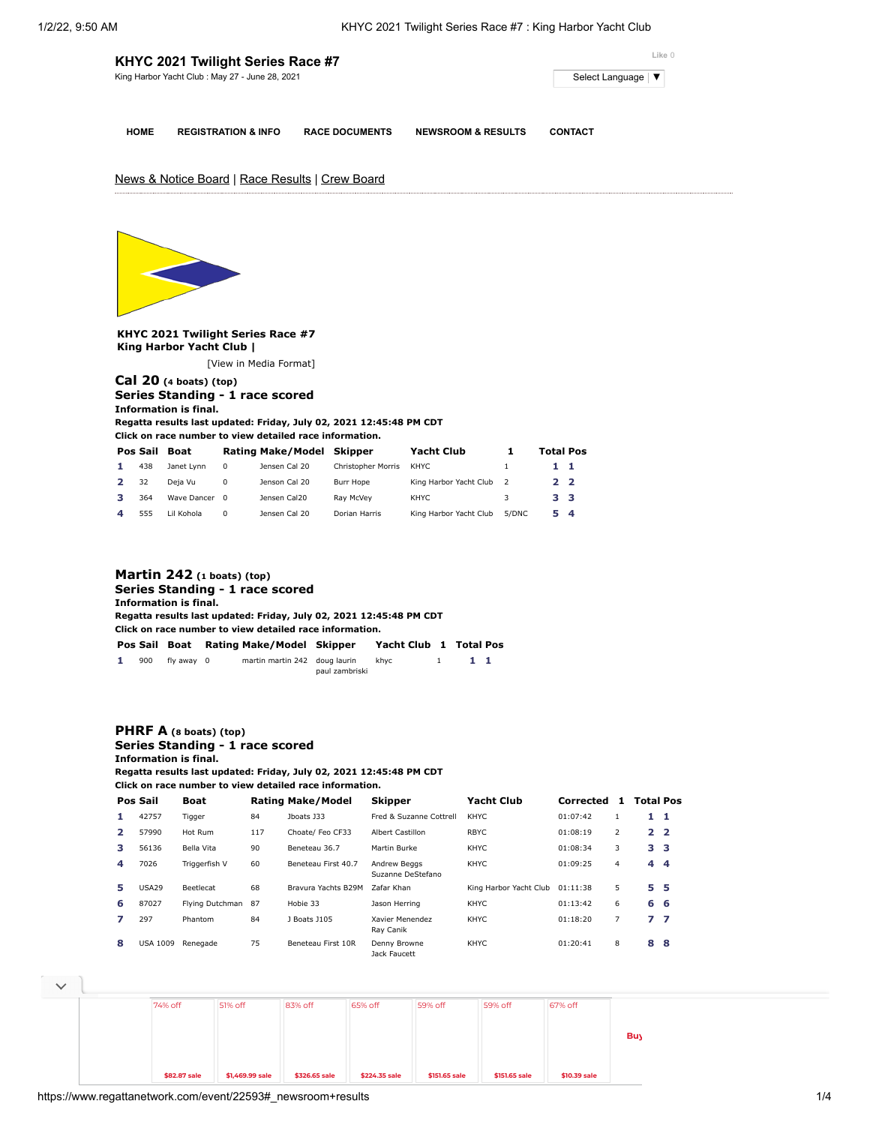|             | KHYC 2021 Twilight Series Race #7              |                       |                    | Like 0                                     |
|-------------|------------------------------------------------|-----------------------|--------------------|--------------------------------------------|
|             | King Harbor Yacht Club: May 27 - June 28, 2021 |                       |                    | Select Language $\vert \blacktriangledown$ |
|             |                                                |                       |                    |                                            |
| <b>HOME</b> | <b>REGISTRATION &amp; INFO</b>                 | <b>RACE DOCUMENTS</b> | NEWSROOM & RESULTS | <b>CONTACT</b>                             |

# News & Notice Board | Race Results | Crew Board



**KHYC 2021 Twilight Series Race #7 King Harbor Yacht Club |**

[\[View in Media Format](https://www.regattanetwork.com/clubmgmt/applet_regatta_results.php?regatta_id=22593&show_manufacturer=1&show_crew=1&media_format=1)]

### **[Cal 20](https://www.regattanetwork.com/clubmgmt/applet_regatta_results.php?regatta_id=22593&show_manufacturer=1&show_crew=1&limit_fleet=Cal+20) (4 boats) (top) Series Standing - 1 race scored Information is final.**

**Regatta results last updated: Friday, July 02, 2021 12:45:48 PM CDT**

**Click on race number to view detailed race information.**

| Pos Sail | <b>Boat</b> |          | <b>Rating Make/Model</b> | Skipper            | Yacht Club             |       | <b>Total Pos</b> |  |
|----------|-------------|----------|--------------------------|--------------------|------------------------|-------|------------------|--|
| 438      | Janet Lynn  | 0        | Jensen Cal 20            | Christopher Morris | KHYC                   |       | 11               |  |
| 32       | Deja Vu     | 0        | Jenson Cal 20            | Burr Hope          | King Harbor Yacht Club |       | 2 2              |  |
| 364      | Wave Dancer | $\Omega$ | Jensen Cal20             | Rav McVev          | KHYC.                  |       | 3 3              |  |
| 555      | Lil Kohola  | 0        | Jensen Cal 20            | Dorian Harris      | King Harbor Yacht Club | 5/DNC | 54               |  |

## **[Martin 242](https://www.regattanetwork.com/clubmgmt/applet_regatta_results.php?regatta_id=22593&show_manufacturer=1&show_crew=1&limit_fleet=Martin+242) (1 boats) (top) Series Standing - 1 race scored Information is final. Regatta results last updated: Friday, July 02, 2021 12:45:48 PM CDT Click on race number to view detailed race information. Pos Sail Boat Rating Make/Model Skipper Yacht Club [1](https://www.regattanetwork.com/clubmgmt/applet_race_scores.php?regatta_id=22593&race_num=1&fleet=Martin+242&show_crew=1) Total Pos**

|  | 900 fly away 0 | martin martin 242 doug laurin khyc |                |  |  |
|--|----------------|------------------------------------|----------------|--|--|
|  |                |                                    | paul zambriski |  |  |

#### **[PHRF A](https://www.regattanetwork.com/clubmgmt/applet_regatta_results.php?regatta_id=22593&show_manufacturer=1&show_crew=1&limit_fleet=PHRF+A) (8 boats) (top) Series Standing - 1 race scored Information is final.**

**Regatta results last updated: Friday, July 02, 2021 12:45:48 PM CDT Click on race number to view detailed race information.**

**Pos Sail Boat Rating Make/Model Skipper Yacht Club Corrected [1](https://www.regattanetwork.com/clubmgmt/applet_race_scores.php?regatta_id=22593&race_num=1&fleet=PHRF+A&show_crew=1) Total Pos 1** 42757 Tigger 84 Jboats J33 Fred & Suzanne Cottrell KHYC 01:07:42 1 **1 1 2** 57990 Hot Rum 117 Choate/ Feo CF33 Albert Castillon RBYC 01:08:19 2 **2 2 3** 56136 Bella Vita 90 Beneteau 36.7 Martin Burke KHYC 01:08:34 3 **3 3 4** 7026 Triggerfish V 60 Beneteau First 40.7 Andrew Beggs Suzanne DeStefano KHYC 01:09:25 4 **4 4 5** USA29 Beetlecat 68 Bravura Yachts B29M Zafar Khan King Harbor Yacht Club 01:11:38 5 **5 5 6** 87027 Flying Dutchman 87 Hobie 33 Jason Herring KHYC 01:13:42 6 **6 6 7** 297 Phantom 84 J Boats J105 Xavier Menendez Ray Canik KHYC 01:18:20 7 **7 7 8** USA 1009 Renegade 75 Beneteau First 10R Denny Browne Jack Faucett KHYC 01:20:41 8 **8 8**

**[PHR](https://cat.da.us.criteo.com/m/delivery/ck.php?cppv=3&cpp=DCcJtjDAoQabBLXx37mBdwsyGc75aDJLhuy9MmZH0fXc00lQ3Q3zry0c7j0WRfWz53yefJq_RavRr-AdeHMWJrhtJvcuJuw9rfP1SVRirHPwUIH5MVeuBbv0LFUrmOJR5hN-pfV7ONCpaa1LhGUNiY4vWQOhfHcDLsNM5fzaeablJ_otbVKSR2qIugpkylYMKfb9ecRO0cw2mW-chpAv0-dcnUflaUitKdaUCiQyaXyszH8Jp-ZWvQOLToCfQqPrJOKI5i5yM-XVkNSTKPQClKTrgX7KvYDXNPZq47bbjjIhd5YNJvMCidfiL2cmS4ezkec8XSarouq_LWO4huffAjTwTSloHS03-MYOhGw2oJ_jf3_aFVwwPvGw9ebuV4rydqAQi94OiKTm0PdkzSiWqhXd8EAbRTXC16thv-8S0cvIlu5iUPwv2RSyMPUeDwDwVppAMKpOYr0c3Ub7ME1kRyfASI8&maxdest=https%3A%2F%2Fwww.jcpenney.com%3Futm_source%3Dcriteo%26utm_medium%3Ddisplay%26utm_campaign%3Dlocalrepeatlapsed%26utm_content%3Dlogo%26cid%3Ddisplay%7Ccriteo%7Clogo%7Clocalrepeatlapsed)[F B](https://www.regattanetwork.com/clubmgmt/applet_regatta_results.php?regatta_id=22593&show_manufacturer=1&show_crew=1&limit_fleet=PHRF+B) (2 boats) (top) Pos Sail Boat Rating Make/Model Skipper Yacht Club Corrected [1](https://www.regattanetwork.com/clubmgmt/applet_race_scores.php?regatta_id=22593&race_num=1&fleet=PHRF+B&show_crew=1) Total Pos Buy Online and Pick Up Instore at** 74% off **\$82.87 sale** 51% off **\$1,469.99 sale** 83% off **\$326.65 sale** 65% off **\$224.35 sale** 59% off **\$151.65 sale** 59% off **[\\$151.65](https://cat.da.us.criteo.com/m/delivery/ck.php?cppv=3&cpp=A5wi2jDAoQabBLXx37mBdwsyGc75aDJLhuy9MmZH0fXc00lQ3Q3zry0c7j0WRfWz53yefJq_RavRr-AdeHMWJrhtJvcuJuw9rfP1SVRirHPwUIH5MVeuBbv0LFUrmOJR5hN-pfV7ONCpaa1LhGUNiY4vWQNbFgv2oxBGnhNC3qOt5ciQ2iViGTT4-BNFg2DTbxugD6zFzMLFM2fVEKexODjz9-8H6gkYA4XmFVzCu8Ts_kJTAPgzTkrpCKzPoOMB3s87mheZnVZvbYdfStflocac_g3uRfEv5XEMyL_iGqsGQFiWnsyeE2MEMTfoS9pz7-kClhX5cZBlAx0tMrgNaF5l4G7pvYwk-TLXKC2tfbie8wiQ4DOAdwIN1Af-nYvN4vYqqkipV1Ve-DxgUAxHWjZVWtRv3DM5EIVCkG-kEEVvO_ZV0DGRe1IAU7nRWX5miaBw_49wvjF1ivajWdeamKflgoBnPw-io4HdM1snPYShEcyowkPEsAux0h_JOG74CDed_A&maxdest=https%3A%2F%2Fwww.jcpenney.com%2Fp%2F1-10-ct-tw-genuine-white-diamond-sterling-silver-wedding-band%2Fppr5007798793%3FpTmplType%3Dregular%26utm_source%3Dcriteo%26utm_medium%3Ddisplay%26utm_campaign%3Dlocalrepeatlapsed%26utm_content%3Dexd%28%22cat%22%29%26cid%3Ddisplay%7Ccriteo%7Cexd%28%22cat%22%29%7Clocalrepeatlapsed) sale** 67% off **[\\$10.39](https://cat.da.us.criteo.com/m/delivery/ck.php?cppv=3&cpp=VL37-jDAoQabBLXx37mBdwsyGc75aDJLhuy9MmZH0fXc00lQ3Q3zry0c7j0WRfWz53yefJq_RavRr-AdeHMWJrhtJvcuJuw9rfP1SVRirHPwUIH5MVeuBbv0LFUrmOJR5hN-pfV7ONCpaa1LhGUNiY4vWQPSjRNUVf9LvFX_nKVolx-IrnsMYPcftUAhJPHrXVSefzU95Xx8F92P2IIP_4d2iK1j4srS9qLFo8ySjPB5FreRfL2cwwsHJk4AMzu4p67gNW5UQxAm0MzZc74mfjtDFJVuAF1f1IGN5yGWg6UtAmn4g4wwLTHJ7utK4h8Lr8cws91V6nVF4gDbmdd-OTJFf64tYvrNyP5I_OMI_trylaOtUvUtaUzsDXOM9cfSozxYk_CtzbZ58cGeDXnclVeltpiek8ahcficTJvMoLJLEWdNk3reBLkjJxWcG4wi2MAW2U41kJIxpSjUfLSRQ7d5DyfjdHm172qKQdFhYjGkiRuyETQp2ynKJ-v9xjKMDBjLQw&maxdest=https%3A%2F%2Fwww.jcpenney.com%2Fp%2Fst-johns-bay-womens-v-neck-long-sleeve-pullover-sweater%2Fppr5008057960%3FpTmplType%3Dregular%26utm_source%3Dcriteo%26utm_medium%3Ddisplay%26utm_campaign%3Dlocalrepeatlapsed%26utm_content%3Dexd%28%22cat%22%29%26cid%3Ddisplay%7Ccriteo%7Cexd%28%22cat%22%29%7Clocalrepeatlapsed) sale**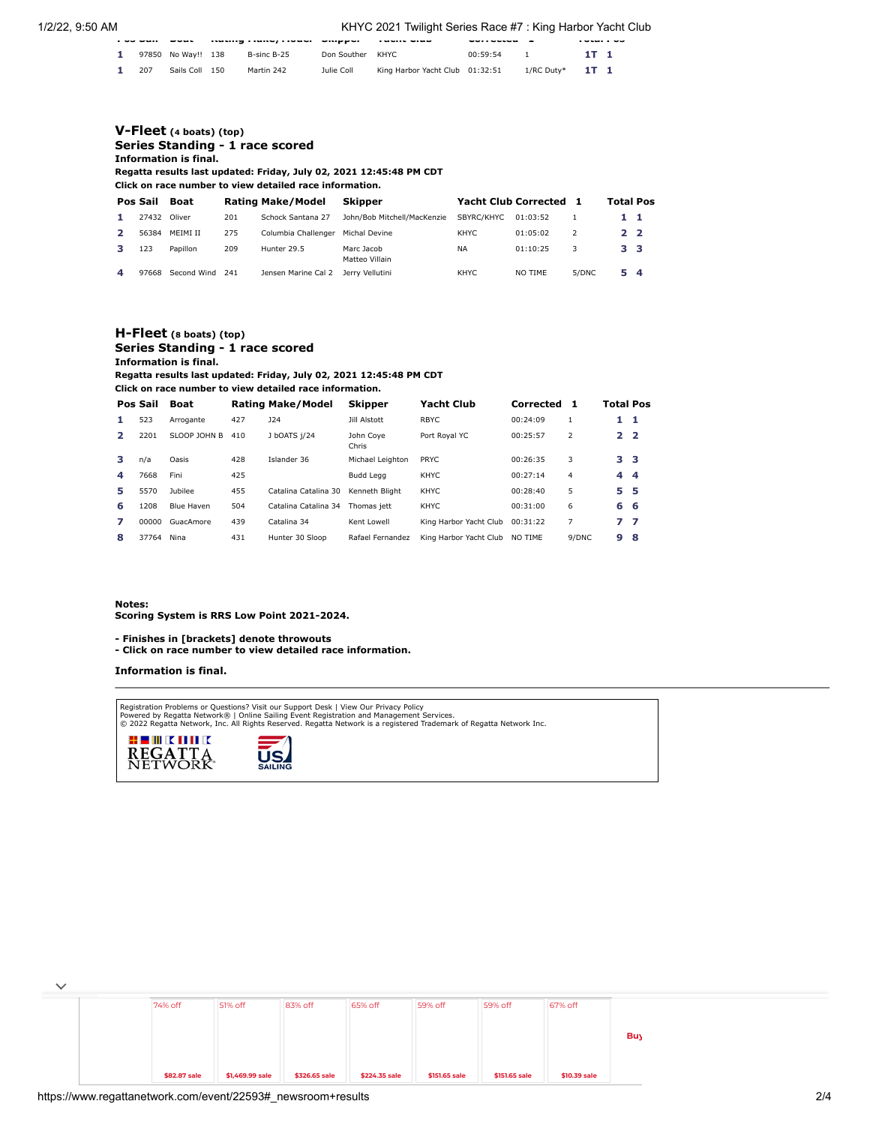#### 1/2/22, 9:50 AM KHYC 2021 Twilight Series Race #7 : King Harbor Yacht Club

| .   | -----              | iwww.gitwiw.jiwww. |             |                                 | --------- | -          | .      |  |
|-----|--------------------|--------------------|-------------|---------------------------------|-----------|------------|--------|--|
|     | 97850 No Way!! 138 | B-sinc B-25        | Don Souther | KHYC.                           | 00:59:54  |            | 1T 1   |  |
| 207 | Sails Coll 150     | Martin 242         | Julie Coll  | King Harbor Yacht Club 01:32:51 |           | 1/RC Duty* | $1T$ 1 |  |

#### **[V-Fleet](https://www.regattanetwork.com/clubmgmt/applet_regatta_results.php?regatta_id=22593&show_manufacturer=1&show_crew=1&limit_fleet=V-Fleet) (4 boats) (top) Series Standing - 1 race scored Information is final. Regatta results last updated: Friday, July 02, 2021 12:45:48 PM CDT Click on race number to view detailed race information. Pos Sail Boat Rating Make/Model Skipper Yacht Club Corrected [1](https://www.regattanetwork.com/clubmgmt/applet_race_scores.php?regatta_id=22593&race_num=1&fleet=V-Fleet&show_crew=1) Total Pos 1** 27432 Oliver 201 Schock Santana 27 John/Bob Mitchell/MacKenzie SBYRC/KHYC 01:03:52 1 **1 1 2** 56384 MEIMI II 275 Columbia Challenger Michal Devine KHYC 01:05:02 2 **2 2 3** 123 Papillon 209 Hunter 29.5 Marc Jacob Matteo Villain NA 01:10:25 3 **3 3 4** 97668 Second Wind 241 Jensen Marine Cal 2 Jerry Vellutini KHYC NO TIME 5/DNC **5 4**

#### **[H-Fleet](https://www.regattanetwork.com/clubmgmt/applet_regatta_results.php?regatta_id=22593&show_manufacturer=1&show_crew=1&limit_fleet=H-Fleet) (8 boats) (top) Series Standing - 1 race scored Information is final.**

**Regatta results last updated: Friday, July 02, 2021 12:45:48 PM CDT**

**Click on race number to view detailed race information.**

|              | Pos Sail | <b>Boat</b>       |     | <b>Rating Make/Model</b> | <b>Skipper</b>     | Yacht Club             | Corrected | 1     | Total Pos       |     |
|--------------|----------|-------------------|-----|--------------------------|--------------------|------------------------|-----------|-------|-----------------|-----|
| 1.           | 523      | Arrogante         | 427 | J24                      | Jill Alstott       | <b>RBYC</b>            | 00:24:09  |       | $1\quad 1$      |     |
| $\mathbf{2}$ | 2201     | SLOOP JOHN B      | 410 | J bOATS i/24             | John Cove<br>Chris | Port Royal YC          | 00:25:57  | 2     | 2 <sub>2</sub>  |     |
| з            | n/a      | Oasis             | 428 | Islander 36              | Michael Leighton   | PRYC                   | 00:26:35  | 3     | 3 <sub>3</sub>  |     |
| 4            | 7668     | Fini              | 425 |                          | <b>Budd Leag</b>   | <b>KHYC</b>            | 00:27:14  | 4     | $4\overline{4}$ |     |
| 5            | 5570     | <b>Jubilee</b>    | 455 | Catalina Catalina 30     | Kenneth Blight     | <b>KHYC</b>            | 00:28:40  | 5.    | 5 5             |     |
| 6            | 1208     | <b>Blue Haven</b> | 504 | Catalina Catalina 34     | Thomas iett        | <b>KHYC</b>            | 00:31:00  | 6     | 6 6             |     |
| 7            | 00000    | GuacAmore         | 439 | Catalina 34              | Kent Lowell        | King Harbor Yacht Club | 00:31:22  | 7     | 77              |     |
| 8            | 37764    | Nina              | 431 | Hunter 30 Sloop          | Rafael Fernandez   | King Harbor Yacht Club | NO TIME   | 9/DNC | 9               | - 8 |

**Notes:**

**Scoring System is RRS Low Point 2021-2024.**

**- Finishes in [brackets] denote throwouts** 

**- Click on race number to view detailed race information.**

**Information is final.**

Registration Problems or Questions? [Visit our Support Desk](http://support.regattanetwork.com/) | [View Our Privacy Policy](https://www.regattanetwork.com/html/privacy.html)<br>[Powered by Regatta Network®](http://www.regattanetwork.com/) | Online Sailing Event Registration and Management Services.<br>© 2022 [Regatta Network,](http://www.regattanetwork.com/) Inc. All Rights Reserved





| 74% off      | 51% off         | 83% off       | 65% off       | 59% off       | 59% off       | 67% off      |            |
|--------------|-----------------|---------------|---------------|---------------|---------------|--------------|------------|
|              |                 |               |               |               |               |              | <b>Buy</b> |
|              |                 |               |               |               |               |              |            |
| \$82.87 sale | \$1,469.99 sale | \$326.65 sale | \$224.35 sale | \$151.65 sale | \$151.65 sale | \$10.39 sale |            |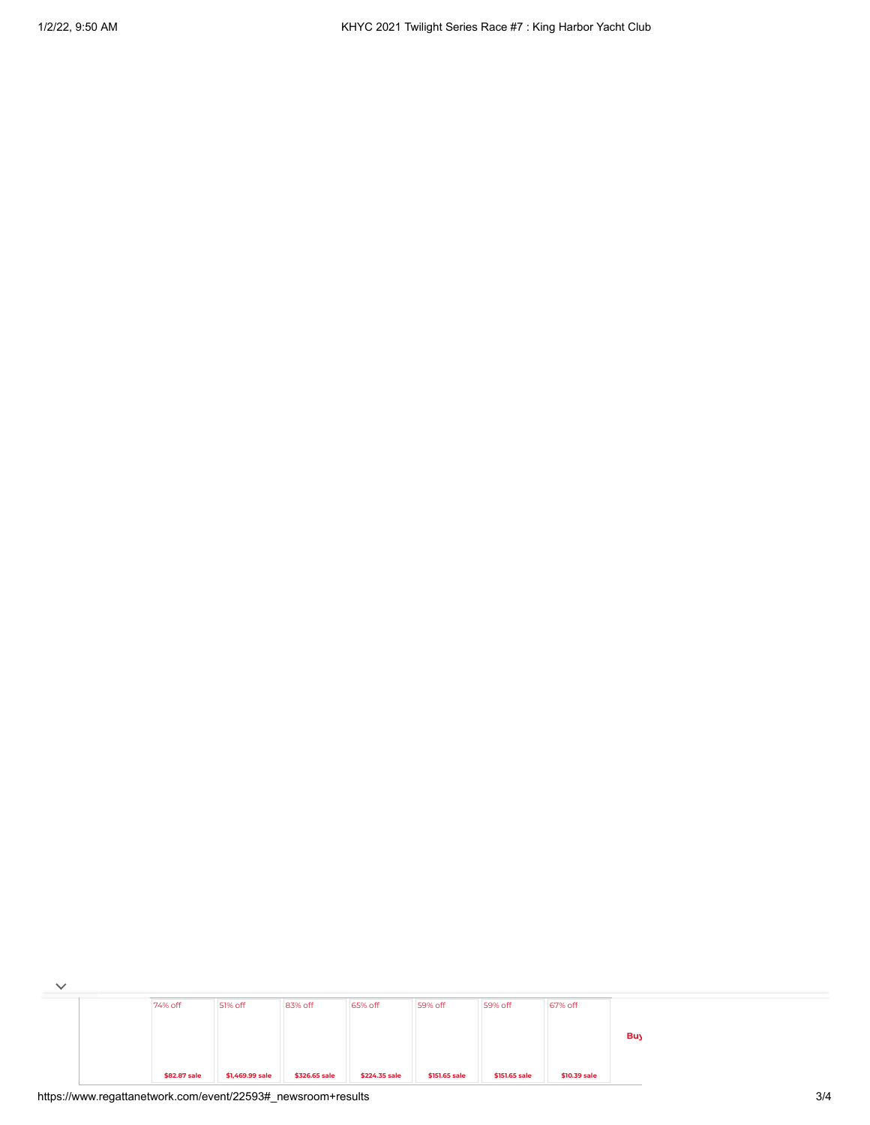| $\checkmark$ |              |                 |               |               |               |               |              |            |
|--------------|--------------|-----------------|---------------|---------------|---------------|---------------|--------------|------------|
|              | 74% off      | 51% off         | 83% off       | 65% off       | 59% off       | 59% off       | 67% off      |            |
|              |              |                 |               |               |               |               |              |            |
|              |              |                 |               |               |               |               |              | <b>Buy</b> |
|              |              |                 |               |               |               |               |              |            |
|              | \$82.87 sale | \$1,469.99 sale | \$326.65 sale | \$224.35 sale | \$151.65 sale | \$151.65 sale | \$10.39 sale |            |